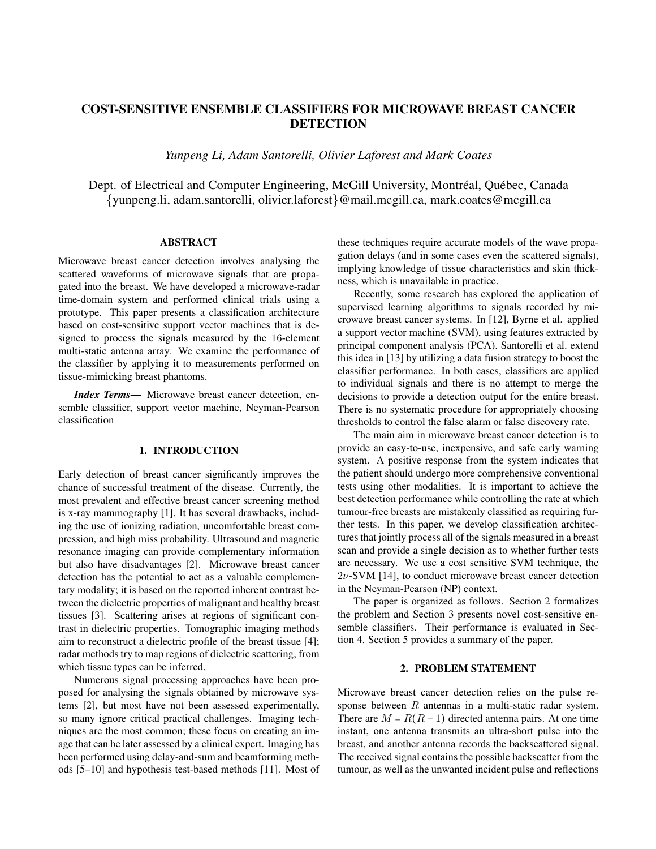# COST-SENSITIVE ENSEMBLE CLASSIFIERS FOR MICROWAVE BREAST CANCER **DETECTION**

*Yunpeng Li, Adam Santorelli, Olivier Laforest and Mark Coates*

Dept. of Electrical and Computer Engineering, McGill University, Montréal, Québec, Canada {yunpeng.li, adam.santorelli, olivier.laforest}@mail.mcgill.ca, mark.coates@mcgill.ca

## ABSTRACT

Microwave breast cancer detection involves analysing the scattered waveforms of microwave signals that are propagated into the breast. We have developed a microwave-radar time-domain system and performed clinical trials using a prototype. This paper presents a classification architecture based on cost-sensitive support vector machines that is designed to process the signals measured by the 16-element multi-static antenna array. We examine the performance of the classifier by applying it to measurements performed on tissue-mimicking breast phantoms.

*Index Terms*— Microwave breast cancer detection, ensemble classifier, support vector machine, Neyman-Pearson classification

#### 1. INTRODUCTION

Early detection of breast cancer significantly improves the chance of successful treatment of the disease. Currently, the most prevalent and effective breast cancer screening method is x-ray mammography [1]. It has several drawbacks, including the use of ionizing radiation, uncomfortable breast compression, and high miss probability. Ultrasound and magnetic resonance imaging can provide complementary information but also have disadvantages [2]. Microwave breast cancer detection has the potential to act as a valuable complementary modality; it is based on the reported inherent contrast between the dielectric properties of malignant and healthy breast tissues [3]. Scattering arises at regions of significant contrast in dielectric properties. Tomographic imaging methods aim to reconstruct a dielectric profile of the breast tissue [4]; radar methods try to map regions of dielectric scattering, from which tissue types can be inferred.

Numerous signal processing approaches have been proposed for analysing the signals obtained by microwave systems [2], but most have not been assessed experimentally, so many ignore critical practical challenges. Imaging techniques are the most common; these focus on creating an image that can be later assessed by a clinical expert. Imaging has been performed using delay-and-sum and beamforming methods [5–10] and hypothesis test-based methods [11]. Most of these techniques require accurate models of the wave propagation delays (and in some cases even the scattered signals), implying knowledge of tissue characteristics and skin thickness, which is unavailable in practice.

Recently, some research has explored the application of supervised learning algorithms to signals recorded by microwave breast cancer systems. In [12], Byrne et al. applied a support vector machine (SVM), using features extracted by principal component analysis (PCA). Santorelli et al. extend this idea in [13] by utilizing a data fusion strategy to boost the classifier performance. In both cases, classifiers are applied to individual signals and there is no attempt to merge the decisions to provide a detection output for the entire breast. There is no systematic procedure for appropriately choosing thresholds to control the false alarm or false discovery rate.

The main aim in microwave breast cancer detection is to provide an easy-to-use, inexpensive, and safe early warning system. A positive response from the system indicates that the patient should undergo more comprehensive conventional tests using other modalities. It is important to achieve the best detection performance while controlling the rate at which tumour-free breasts are mistakenly classified as requiring further tests. In this paper, we develop classification architectures that jointly process all of the signals measured in a breast scan and provide a single decision as to whether further tests are necessary. We use a cost sensitive SVM technique, the  $2\nu$ -SVM [14], to conduct microwave breast cancer detection in the Neyman-Pearson (NP) context.

The paper is organized as follows. Section 2 formalizes the problem and Section 3 presents novel cost-sensitive ensemble classifiers. Their performance is evaluated in Section 4. Section 5 provides a summary of the paper.

#### 2. PROBLEM STATEMENT

Microwave breast cancer detection relies on the pulse response between  $R$  antennas in a multi-static radar system. There are  $M = R(R - 1)$  directed antenna pairs. At one time instant, one antenna transmits an ultra-short pulse into the breast, and another antenna records the backscattered signal. The received signal contains the possible backscatter from the tumour, as well as the unwanted incident pulse and reflections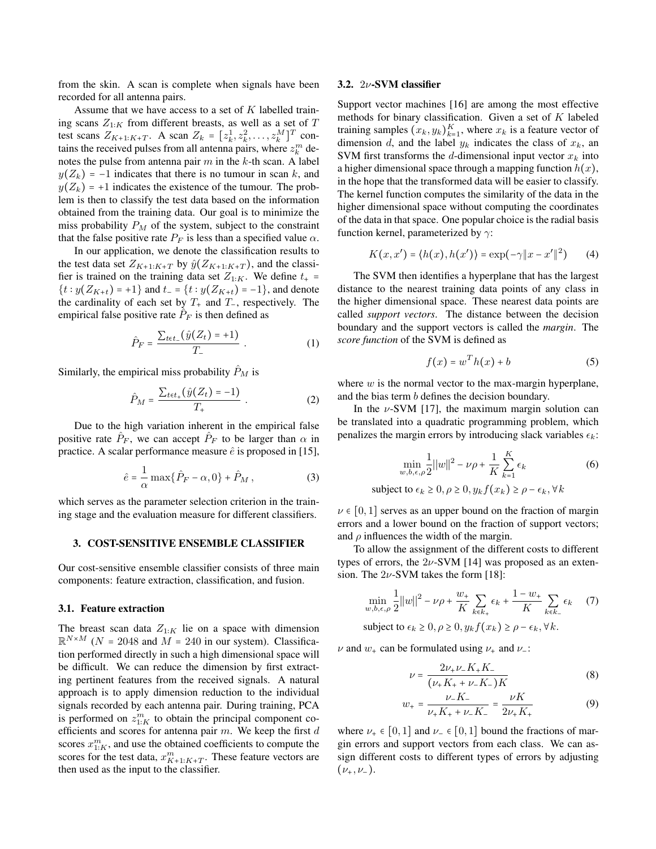from the skin. A scan is complete when signals have been recorded for all antenna pairs.

Assume that we have access to a set of  $K$  labelled training scans  $Z_{1:K}$  from different breasts, as well as a set of T test scans  $Z_{K+1:K+T}$ . A scan  $Z_k = [z_k^1, z_k^2, \dots, z_k^M]^T$  contains the received pulses from all antenna pairs, where  $z_k^m$  denotes the pulse from antenna pair  $m$  in the  $k$ -th scan. A label  $y(Z_k) = -1$  indicates that there is no tumour in scan k, and  $y(Z_k) = +1$  indicates the existence of the tumour. The problem is then to classify the test data based on the information obtained from the training data. Our goal is to minimize the miss probability  $P_M$  of the system, subject to the constraint that the false positive rate  $P_F$  is less than a specified value  $\alpha$ .

In our application, we denote the classification results to the test data set  $Z_{K+1:K+T}$  by  $\hat{y}(Z_{K+1:K+T})$ , and the classifier is trained on the training data set  $Z_{1:K}$ . We define  $t_{+}$  =  $\{t : y(Z_{K+t}) = +1\}$  and  $t_{-} = \{t : y(Z_{K+t}) = -1\}$ , and denote the cardinality of each set by  $T_+$  and  $T_-$ , respectively. The empirical false positive rate  $\hat{P}_F$  is then defined as

$$
\hat{P}_F = \frac{\sum_{t \in t_-} (\hat{y}(Z_t) = +1)}{T_-} \ . \tag{1}
$$

Similarly, the empirical miss probability  $\hat{P}_M$  is

$$
\hat{P}_M = \frac{\sum_{t \in t_+} (\hat{y}(Z_t) = -1)}{T_+} \ . \tag{2}
$$

Due to the high variation inherent in the empirical false positive rate  $\hat{P}_F$ , we can accept  $\hat{P}_F$  to be larger than  $\alpha$  in practice. A scalar performance measure  $\hat{e}$  is proposed in [15],

$$
\hat{e} = \frac{1}{\alpha} \max\{\hat{P}_F - \alpha, 0\} + \hat{P}_M,
$$
\n(3)

which serves as the parameter selection criterion in the training stage and the evaluation measure for different classifiers.

#### 3. COST-SENSITIVE ENSEMBLE CLASSIFIER

Our cost-sensitive ensemble classifier consists of three main components: feature extraction, classification, and fusion.

#### 3.1. Feature extraction

The breast scan data  $Z_{1:K}$  lie on a space with dimension  $\mathbb{R}^{N \times M}$  (N = 2048 and M = 240 in our system). Classification performed directly in such a high dimensional space will be difficult. We can reduce the dimension by first extracting pertinent features from the received signals. A natural approach is to apply dimension reduction to the individual signals recorded by each antenna pair. During training, PCA is performed on  $z_{1:K}^m$  to obtain the principal component coefficients and scores for antenna pair  $m$ . We keep the first  $d$ scores  $x_{1:K}^m$ , and use the obtained coefficients to compute the scores for the test data,  $x_{K+1:K+T}^m$ . These feature vectors are then used as the input to the classifier.

#### 3.2. 2ν-SVM classifier

Support vector machines [16] are among the most effective methods for binary classification. Given a set of  $K$  labeled training samples  $(x_k, y_k)_{k=1}^K$ , where  $x_k$  is a feature vector of dimension d, and the label  $y_k$  indicates the class of  $x_k$ , and SVM first transforms the d-dimensional input vector  $x_k$  into a higher dimensional space through a mapping function  $h(x)$ , in the hope that the transformed data will be easier to classify. The kernel function computes the similarity of the data in the higher dimensional space without computing the coordinates of the data in that space. One popular choice is the radial basis function kernel, parameterized by  $\gamma$ :

$$
K(x, x') = \langle h(x), h(x') \rangle = \exp(-\gamma \|x - x'\|^2) \tag{4}
$$

The SVM then identifies a hyperplane that has the largest distance to the nearest training data points of any class in the higher dimensional space. These nearest data points are called *support vectors*. The distance between the decision boundary and the support vectors is called the *margin*. The *score function* of the SVM is defined as

$$
f(x) = w^T h(x) + b \tag{5}
$$

where  $w$  is the normal vector to the max-margin hyperplane, and the bias term b defines the decision boundary.

In the  $\nu$ -SVM [17], the maximum margin solution can be translated into a quadratic programming problem, which penalizes the margin errors by introducing slack variables  $\epsilon_k$ :

$$
\min_{w,b,\epsilon,\rho} \frac{1}{2} ||w||^2 - \nu \rho + \frac{1}{K} \sum_{k=1}^K \epsilon_k
$$
 (6)

subject to  $\epsilon_k \geq 0, \rho \geq 0, y_k f(x_k) \geq \rho - \epsilon_k, \forall k$ 

 $\nu \in [0, 1]$  serves as an upper bound on the fraction of margin errors and a lower bound on the fraction of support vectors; and  $\rho$  influences the width of the margin.

To allow the assignment of the different costs to different types of errors, the  $2\nu$ -SVM [14] was proposed as an extension. The  $2\nu$ -SVM takes the form [18]:

$$
\min_{w,b,\epsilon,\rho} \frac{1}{2} ||w||^2 - \nu \rho + \frac{w_+}{K} \sum_{k \in k_+} \epsilon_k + \frac{1 - w_+}{K} \sum_{k \in k_-} \epsilon_k \tag{7}
$$

subject to  $\epsilon_k \geq 0, \rho \geq 0, y_k f(x_k) \geq \rho - \epsilon_k, \forall k$ .

 $\nu$  and  $w_+$  can be formulated using  $\nu_+$  and  $\nu_-$ :

$$
\nu = \frac{2\nu_{+}\nu_{-}K_{+}K_{-}}{(\nu_{+}K_{+} + \nu_{-}K_{-})K}
$$
(8)

$$
w_{+} = \frac{\nu_{-}K_{-}}{\nu_{+}K_{+} + \nu_{-}K_{-}} = \frac{\nu K}{2\nu_{+}K_{+}} \tag{9}
$$

where  $\nu_+ \in [0, 1]$  and  $\nu_- \in [0, 1]$  bound the fractions of margin errors and support vectors from each class. We can assign different costs to different types of errors by adjusting  $(\nu_+,\nu_-).$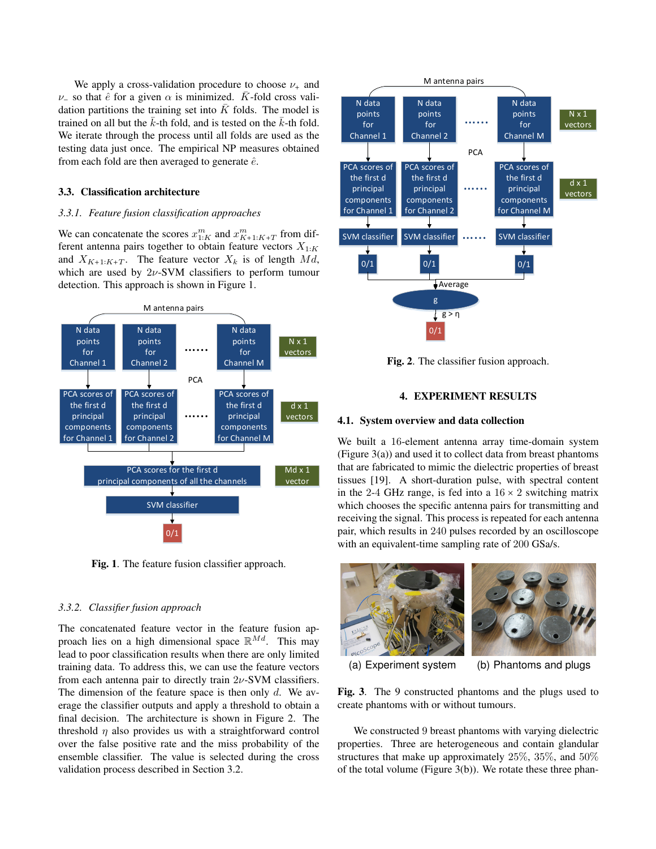We apply a cross-validation procedure to choose  $\nu_{+}$  and  $ν_$  so that  $\hat{e}$  for a given  $\alpha$  is minimized.  $\bar{K}$ -fold cross validation partitions the training set into  $K$  folds. The model is trained on all but the  $\bar{k}$ -th fold, and is tested on the  $\bar{k}$ -th fold. We iterate through the process until all folds are used as the testing data just once. The empirical NP measures obtained from each fold are then averaged to generate  $\hat{e}$ .

#### 3.3. Classification architecture

#### *3.3.1. Feature fusion classification approaches*

We can concatenate the scores  $x_{1:K}^m$  and  $x_{K+1:K+T}^m$  from different antenna pairs together to obtain feature vectors  $X_{1:K}$ and  $X_{K+1:K+T}$ . The feature vector  $X_k$  is of length  $Md$ , which are used by  $2\nu$ -SVM classifiers to perform tumour detection. This approach is shown in Figure 1.



Fig. 1. The feature fusion classifier approach.

#### *3.3.2. Classifier fusion approach*

The concatenated feature vector in the feature fusion approach lies on a high dimensional space  $\mathbb{R}^{Md}$ . This may lead to poor classification results when there are only limited training data. To address this, we can use the feature vectors from each antenna pair to directly train  $2\nu$ -SVM classifiers. The dimension of the feature space is then only  $d$ . We average the classifier outputs and apply a threshold to obtain a final decision. The architecture is shown in Figure 2. The threshold  $\eta$  also provides us with a straightforward control over the false positive rate and the miss probability of the ensemble classifier. The value is selected during the cross validation process described in Section 3.2.



Fig. 2. The classifier fusion approach.

### 4. EXPERIMENT RESULTS

#### 4.1. System overview and data collection

We built a 16-element antenna array time-domain system (Figure 3(a)) and used it to collect data from breast phantoms that are fabricated to mimic the dielectric properties of breast tissues [19]. A short-duration pulse, with spectral content in the 2-4 GHz range, is fed into a  $16 \times 2$  switching matrix which chooses the specific antenna pairs for transmitting and receiving the signal. This process is repeated for each antenna pair, which results in 240 pulses recorded by an oscilloscope with an equivalent-time sampling rate of 200 GSa/s.



(a) Experiment system (b) Phantoms and plugs

Fig. 3. The 9 constructed phantoms and the plugs used to create phantoms with or without tumours.

We constructed 9 breast phantoms with varying dielectric properties. Three are heterogeneous and contain glandular structures that make up approximately 25%, 35%, and 50% of the total volume (Figure 3(b)). We rotate these three phan-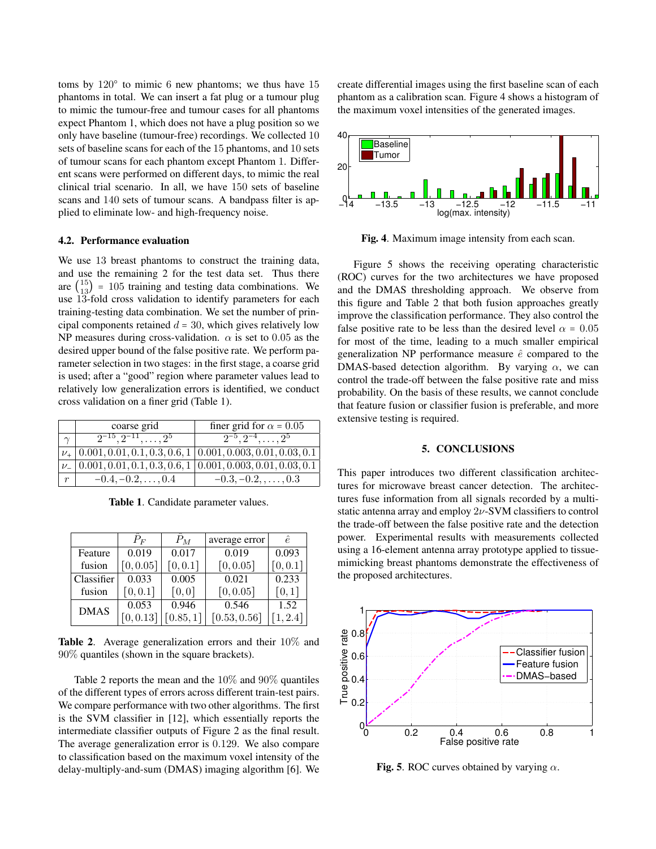toms by  $120^{\circ}$  to mimic 6 new phantoms; we thus have 15 phantoms in total. We can insert a fat plug or a tumour plug to mimic the tumour-free and tumour cases for all phantoms expect Phantom 1, which does not have a plug position so we only have baseline (tumour-free) recordings. We collected 10 sets of baseline scans for each of the 15 phantoms, and 10 sets of tumour scans for each phantom except Phantom 1. Different scans were performed on different days, to mimic the real clinical trial scenario. In all, we have 150 sets of baseline scans and 140 sets of tumour scans. A bandpass filter is applied to eliminate low- and high-frequency noise.

#### 4.2. Performance evaluation

We use 13 breast phantoms to construct the training data, and use the remaining 2 for the test data set. Thus there are  $\binom{15}{13}$  = 105 training and testing data combinations. We use 13-fold cross validation to identify parameters for each training-testing data combination. We set the number of principal components retained  $d = 30$ , which gives relatively low NP measures during cross-validation.  $\alpha$  is set to 0.05 as the desired upper bound of the false positive rate. We perform parameter selection in two stages: in the first stage, a coarse grid is used; after a "good" region where parameter values lead to relatively low generalization errors is identified, we conduct cross validation on a finer grid (Table 1).

|                  | coarse grid                                | finer grid for $\alpha = 0.05$                                                     |
|------------------|--------------------------------------------|------------------------------------------------------------------------------------|
|                  | $\overline{2^{-15}, 2^{-11}, \ldots, 2^5}$ | $\sqrt{2^{-5}, 2^{-4}, \ldots, 2^{5}}$                                             |
|                  |                                            | $\nu_+$   0.001, 0.01, 0.1, 0.3, 0.6, 1   0.001, 0.003, 0.01, 0.03, 0.1            |
|                  |                                            | $\nu = [0.001, 0.01, 0.1, 0.3, 0.6, 1]$ $\overline{0.001, 0.003, 0.01, 0.03, 0.1}$ |
| $\boldsymbol{r}$ | $-0.4, -0.2, \ldots, 0.4$                  | $-0.3, -0.2, \ldots, 0.3$                                                          |

Table 1. Candidate parameter values.

|             | $P_F$     | $P_M$     | average error | ê.       |
|-------------|-----------|-----------|---------------|----------|
| Feature     | 0.019     | 0.017     | 0.019         | 0.093    |
| fusion      | [0, 0.05] | [0, 0.1]  | [0, 0.05]     | [0, 0.1] |
| Classifier  | 0.033     | 0.005     | 0.021         | 0.233    |
| fusion      | [0, 0.1]  | [0,0]     | [0, 0.05]     | [0,1]    |
| <b>DMAS</b> | 0.053     | 0.946     | 0.546         | 1.52     |
|             | [0, 0.13] | [0.85, 1] | [0.53, 0.56]  | 1, 2.4   |

Table 2. Average generalization errors and their 10% and 90% quantiles (shown in the square brackets).

Table 2 reports the mean and the 10% and 90% quantiles of the different types of errors across different train-test pairs. We compare performance with two other algorithms. The first is the SVM classifier in [12], which essentially reports the intermediate classifier outputs of Figure 2 as the final result. The average generalization error is 0.129. We also compare to classification based on the maximum voxel intensity of the delay-multiply-and-sum (DMAS) imaging algorithm [6]. We create differential images using the first baseline scan of each phantom as a calibration scan. Figure 4 shows a histogram of the maximum voxel intensities of the generated images.



Fig. 4. Maximum image intensity from each scan.

Figure 5 shows the receiving operating characteristic (ROC) curves for the two architectures we have proposed and the DMAS thresholding approach. We observe from this figure and Table 2 that both fusion approaches greatly improve the classification performance. They also control the false positive rate to be less than the desired level  $\alpha = 0.05$ for most of the time, leading to a much smaller empirical generalization NP performance measure  $\hat{e}$  compared to the DMAS-based detection algorithm. By varying  $\alpha$ , we can control the trade-off between the false positive rate and miss probability. On the basis of these results, we cannot conclude that feature fusion or classifier fusion is preferable, and more extensive testing is required.

#### 5. CONCLUSIONS

This paper introduces two different classification architectures for microwave breast cancer detection. The architectures fuse information from all signals recorded by a multistatic antenna array and employ  $2\nu$ -SVM classifiers to control the trade-off between the false positive rate and the detection power. Experimental results with measurements collected using a 16-element antenna array prototype applied to tissuemimicking breast phantoms demonstrate the effectiveness of the proposed architectures.



Fig. 5. ROC curves obtained by varying  $\alpha$ .